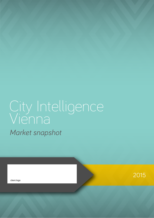# City Intelligence Vienna *Market snapshot*

client logo

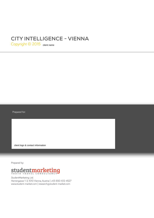## **city intelligence - VIENNA**

Copyright © 2015 <sub>client name</sub>

Prepared for:

client logo & contact information

Prepared by:



StudentMarketing Ltd. Herrengasse 1-3, 1010 Vienna, Austria | +43-650-612-4527 www.student-market.com | research@student-market.com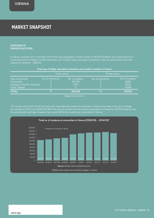# Market snapshot **MARKET SNAPSHOT**

**Overview of Higher education**

In Vienna, students form more than 10% of the city's population. A total number of 187,303 students are spread among 13 universities and 12 colleges. Furthermore, there are 11 public higher education institutions in the city, which attract the vast majority of students - 166,638.

| Overview of higher education institutions and student numbers in Vienna                       |                     |                                     |                     |                                             |  |  |
|-----------------------------------------------------------------------------------------------|---------------------|-------------------------------------|---------------------|---------------------------------------------|--|--|
|                                                                                               | Public sector       |                                     | Private sector      |                                             |  |  |
| Type of institution<br><b>Universities</b><br>Colleges of teacher education<br>Other colleges | No. of institutions | No. of students<br>163,456<br>3,182 | No. of institutions | No. of students<br>3,882<br>2,825<br>13,958 |  |  |
| <b>TOTAL</b>                                                                                  | 11                  | 156,638                             | 14                  | 20,665                                      |  |  |

**Source:** Statistik Vienna

The number of students (both domestic and international) enroled at universities in Vienna has been rising at an average annual rate of 4.2% since 2005/06. With this pace of growth, the total student population increased by 42,582 students over the past decade. Last year, however, there were 6,492 less students at universities in Vienna.

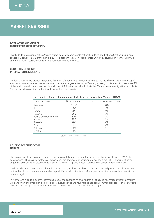### **MARKET SNAPSHOT**

### **INTERNATIONALISATION OF HIGHER EDUCATION IN THE CITY**

Thanks to its international nature, Vienna enjoys popularity among international students and higher education institutions collectively served 48,313 of them in the 2014/15 academic year. This represented 26% of all students in Vienna, a city with one of the highest concentrations of international students in Europe.

### **COUNTRIES OF ORIGIN INTERNATIONAL STUDENTS**

No data is available to provide insight into the origin of international students in Vienna. The table below illustrates the top 10 source countries of international students enroled at the largest university in Vienna (University of Vienna which caters to 49% of the total international student population in the city). The figures below indicate that Vienna predominantly attracts students from surrounding countries, rather than long-haul source markets.

| No. of students | % of all international students |
|-----------------|---------------------------------|
| 8,537           | 18%                             |
| 1,471           | 3%                              |
| 1,447           | 3%                              |
| 952             | 2%                              |
| 816             | 2%                              |
| 792             | 2%                              |
| 767             | 2%                              |
| 709             | 2%                              |
| 693             | 1%                              |
| 692             | 1%                              |
|                 |                                 |

#### **Top countries of origin of international students at The University of Vienna (2014/15)**

**Source:** The University of Vienna

### **STUDENT ACCOMMODATION MARKET**

The majority of students prefer to rent a room in a privately owned shared flat/apartment that is usually called "WG" (flat communities). The main advantages of cohabitation are: lower cost of shared premises (by a max. of 10 students at times), larger available space for students and a lack of rules that might be present at religious or social student residences.

Students who rent a private room through a real estate agent have to follow the Austrian law and pay two month advance in rent, and minimum one month refundable deposit. If a rental contract ends after a year or two, the process then needs to be repeated again.

In Vienna, and Austria in general, communal, social and cooperative housing that is usually co-sponsored by local authorities like Land Wien, and often provided by co-operatives, societies and foundations has been common practice for over 150 years. This type of housing includes student residences, homes for the elderly and flats for migrants.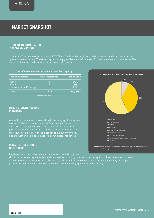# Market snapshot **MARKET SNAPSHOT**

### **STUDENT ACCOMMODATION MARKET SATURATION**

A total of 103 student residences operate 13,667 beds. Students who apply for a bed in a student residence have to wait in a queue for several months. Therefore, they tend to apply in advance – before a need for the actual accommodation arises. This means that student residences usually operate at full capacity.

### **No. of student residences in Vienna and their capacity**

| Type of ownership                                    | No. of residences         | No. of beds            |
|------------------------------------------------------|---------------------------|------------------------|
| <b>Public</b><br>Private<br>University owned/managed | 81<br>20<br>$\mathcal{P}$ | 11,709<br>1,813<br>145 |
| <b>TOTAL</b>                                         | 103                       | 150,403                |

**Source:** StudentMarketing

### **MAJOR STUDENT HOUSING PROVIDERS**

A majority of the student houses belong in the category of non-private residences. These are owned or run by Christian organisations, cooperatives, societies, foundations, trade unions, hostel associations, political parties, charities, regions of Austria, City of Vienna and even the Republic of Slovenia. With the exception of the BOKU university, higher education institutions do not own or run student residences.

### **PRIVATE STUDENT HALLS OF RESIDENCE**

Legal regulations describe student residences as social buildings that

should be run as a non-profit activity, and are therefore not strictly commercial. An exception to the non-commercial rule is granted to several student residences that accommodate students for 9 months and tourists for 3 months, and support the (renovation) budget of the foundations or societies that run them (e.g. Porzellaneum, Kolping).

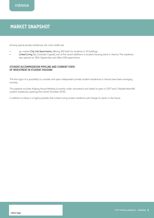### **MARKET SNAPSHOT**

Among typical private residences, the most visible are:

- up-market City Life Apartments offering 182 beds for students in 10 buildings
- Linked Living (by Corestate Capital), one of the recent additions to student housing stock in Vienna. The residence was opened on 30th September and offers 594 apartments.

### **STUDENT ACCOMMODATION PIPELINE AND CURRENT STATE OF INVESTMENT IN STUDENT HOUSING**

The first signs of a possibility to consider and open independent private student residences in Vienna have been emerging recently.

This pipeline includes Kolping House Meiding (currently under renovation) and slated to open in 2017 and 2 Akademikerhilfe student residences, opening this month (October 2015).

In addition to these, it is highly possible that Linked Living student residence will change its owner in the future.